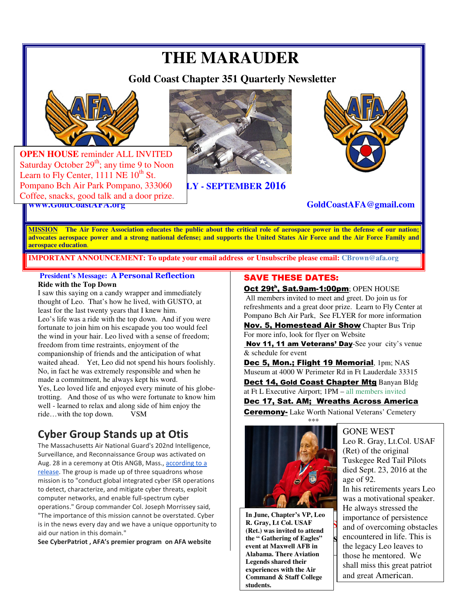## **THE MARAUDER**

 **Gold Coast Chapter 351 Quarterly Newsletter** 



Learn to Fly Center,  $1111$  NE  $10^{th}$  St. Pompano Bch Air Park Pompano, 333060 **LY - SEPTEMBER 2016 OPEN HOUSE** reminder ALL INVITED Saturday October  $29<sup>th</sup>$ ; any time 9 to Noon Coffee, snacks, good talk and a door prize.





#### **www.GoldCoastAFA.org GoldCoastAFA@gmail.com**

**MISSION The Air Force Association educates the public about the critical role of aerospace power in the defense of our nation; advocates aerospace power and a strong national defense; and supports the United States Air Force and the Air Force Family and aerospace education**.

**IMPORTANT ANNOUNCEMENT: To update your email address or Unsubscribe please email: CBrown@afa.org**

 **President's Message: A Personal Reflection Ride with the Top Down** 

I saw this saying on a candy wrapper and immediately thought of Leo. That's how he lived, with GUSTO, at least for the last twenty years that I knew him. Leo's life was a ride with the top down. And if you were fortunate to join him on his escapade you too would feel the wind in your hair. Leo lived with a sense of freedom; freedom from time restraints, enjoyment of the companionship of friends and the anticipation of what waited ahead. Yet, Leo did not spend his hours foolishly. No, in fact he was extremely responsible and when he made a commitment, he always kept his word. Yes, Leo loved life and enjoyed every minute of his globetrotting. And those of us who were fortunate to know him well - learned to relax and along side of him enjoy the ride...with the top down. VSM ride...with the top down.

### **Cyber Group Stands up at Otis**

The Massachusetts Air National Guard's 202nd Intelligence, Surveillance, and Reconnaissance Group was activated on Aug. 28 in a ceremony at Otis ANGB, Mass., according to a release. The group is made up of three squadrons whose mission is to "conduct global integrated cyber ISR operations to detect, characterize, and mitigate cyber threats, exploit computer networks, and enable full-spectrum cyber operations." Group commander Col. Joseph Morrissey said, "The importance of this mission cannot be overstated. Cyber is in the news every day and we have a unique opportunity to aid our nation in this domain."

**See CyberPatriot , AFA's premier program on AFA website**

#### SAVE THESE DATES:

Oct 29t<sup>h</sup>, Sat.9am-1:00pm; OPEN HOUSE All members invited to meet and greet. Do join us for refreshments and a great door prize. Learn to Fly Center at Pompano Bch Air Park, See FLYER for more information

Nov. 5, Homestead Air Show Chapter Bus Trip For more info, look for flyer on Website

Nov 11, 11 am Veterans' Day-See your city's venue & schedule for event

Dec 5, Mon.; Flight 19 Memorial, 1pm; NAS Museum at 4000 W Perimeter Rd in Ft Lauderdale 33315

Dect 14, Gold Coast Chapter Mtg Banyan Bldg at Ft L Executive Airport; 1PM – all members invited

#### Dec 17, Sat. AM; Wreaths Across America

**Ceremony-** Lake Worth National Veterans' Cemetery



In June, Chapter's VP, Leo<br> **R. Gray, Lt Col. USAF**<br>
(Ref) was invited to attend **In June, Chapter's VP, Leo (Ret.) was invited to attend the " Gathering of Eagles" event at Maxwell AFB in Alabama. There Aviation Legends shared their experiences with the Air Command & Staff College students.** 

#### GONE WEST

shall miss this great patriot **Eagles S** encountered in life. This is Leo R. Gray, Lt.Col. USAF (Ret) of the original Tuskegee Red Tail Pilots died Sept. 23, 2016 at the age of 92. In his retirements years Leo was a motivational speaker. He always stressed the importance of persistence and of overcoming obstacles the legacy Leo leaves to those he mentored. We and great American.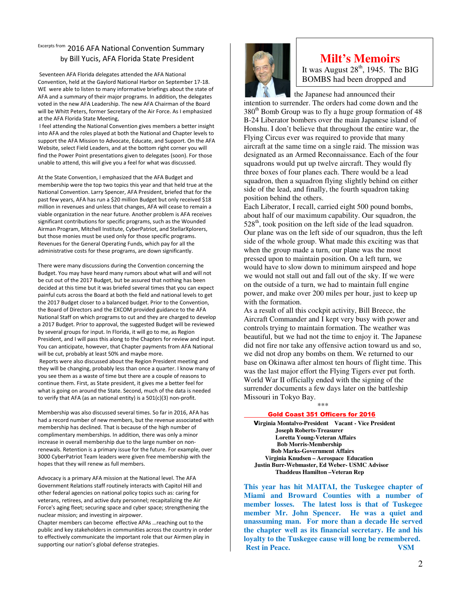#### Excerpts from 2016 AFA National Convention Summary by Bill Yucis, AFA Florida State President

 Seventeen AFA Florida delegates attended the AFA National Convention, held at the Gaylord National Harbor on September 17-18. WE were able to listen to many informative briefings about the state of AFA and a summary of their major programs. In addition, the delegates voted in the new AFA Leadership. The new AFA Chairman of the Board will be Whitt Peters, former Secretary of the Air Force. As I emphasized at the AFA Florida State Meeting,

 I feel attending the National Convention gives members a better insight into AFA and the roles played at both the National and Chapter levels to support the AFA Mission to Advocate, Educate, and Support. On the AFA Website, select Field Leaders, and at the bottom right corner you will find the Power Point presentations given to delegates (soon). For those unable to attend, this will give you a feel for what was discussed.

At the State Convention, I emphasized that the AFA Budget and membership were the top two topics this year and that held true at the National Convention. Larry Spencer, AFA President, briefed that for the past few years, AFA has run a \$20 million Budget but only received \$18 million in revenues and unless that changes, AFA will cease to remain a viable organization in the near future. Another problem is AFA receives significant contributions for specific programs, such as the Wounded Airman Program, Mitchell Institute, CyberPatriot, and StellarXplorers, but those monies must be used only for those specific programs. Revenues for the General Operating Funds, which pay for all the administrative costs for these programs, are down significantly.

There were many discussions during the Convention concerning the Budget. You may have heard many rumors about what will and will not be cut out of the 2017 Budget, but be assured that nothing has been decided at this time but it was briefed several times that you can expect painful cuts across the Board at both the field and national levels to get the 2017 Budget closer to a balanced budget. Prior to the Convention, the Board of Directors and the EXCOM provided guidance to the AFA National Staff on which programs to cut and they are charged to develop a 2017 Budget. Prior to approval, the suggested Budget will be reviewed by several groups for input. In Florida, it will go to me, as Region President, and I will pass this along to the Chapters for review and input. You can anticipate, however, that Chapter payments from AFA National will be cut, probably at least 50% and maybe more.

 Reports were also discussed about the Region President meeting and they will be changing, probably less than once a quarter. I know many of you see them as a waste of time but there are a couple of reasons to continue them. First, as State president, it gives me a better feel for what is going on around the State. Second, much of the data is needed to verify that AFA (as an national entity) is a 501(c)(3) non-profit.

Membership was also discussed several times. So far in 2016, AFA has had a record number of new members, but the revenue associated with membership has declined. That is because of the high number of complimentary memberships. In addition, there was only a minor increase in overall membership due to the large number on nonrenewals. Retention is a primary issue for the future. For example, over 3000 CyberPatriot Team leaders were given free membership with the hopes that they will renew as full members.

Advocacy is a primary AFA mission at the National level. The AFA Government Relations staff routinely interacts with Capitol Hill and other federal agencies on national policy topics such as: caring for veterans, retirees, and active duty personnel; recapitalizing the Air Force's aging fleet; securing space and cyber space; strengthening the nuclear mission; and investing in airpower.

Chapter members can become effective APAs …reaching out to the public and key stakeholders in communities across the country in order to effectively communicate the important role that our Airmen play in supporting our nation's global defense strategies.



#### Milt's Memoirs  **Milt's Memoirs**

It was August  $28<sup>th</sup>$ , 1945. The BIG BOMBS had been dropped and

 the Japanese had announced their intention to surrender. The orders had come down and the  $380<sup>th</sup>$  Bomb Group was to fly a huge group formation of 48 B-24 Liberator bombers over the main Japanese island of Honshu. I don't believe that throughout the entire war, the Flying Circus ever was required to provide that many aircraft at the same time on a single raid. The mission was designated as an Armed Reconnaissance. Each of the four squadrons would put up twelve aircraft. They would fly three boxes of four planes each. There would be a lead squadron, then a squadron flying slightly behind on either side of the lead, and finally, the fourth squadron taking position behind the others.

Each Liberator, I recall, carried eight 500 pound bombs, about half of our maximum capability. Our squadron, the  $528<sup>th</sup>$ , took position on the left side of the lead squadron. Our plane was on the left side of our squadron, thus the left side of the whole group. What made this exciting was that when the group made a turn, our plane was the most pressed upon to maintain position. On a left turn, we would have to slow down to minimum airspeed and hope we would not stall out and fall out of the sky. If we were on the outside of a turn, we had to maintain full engine power, and make over 200 miles per hour, just to keep up with the formation.

As a result of all this cockpit activity, Bill Breece, the Aircraft Commander and I kept very busy with power and controls trying to maintain formation. The weather was beautiful, but we had not the time to enjoy it. The Japanese did not fire nor take any offensive action toward us and so, we did not drop any bombs on them. We returned to our base on Okinawa after almost ten hours of flight time. This was the last major effort the Flying Tigers ever put forth. World War II officially ended with the signing of the surrender documents a few days later on the battleship Missouri in Tokyo Bay.

 $***$ 

#### Gold Coast 351 Officers for 2016

 V**irginia Montalvo-President Vacant - Vice President Joseph Roberts-Treasurer Loretta Young-Veteran Affairs Bob Morris-Membership Bob Marks-Government Affairs Virginia Knudsen – Aerospace Education Justin Burr-Webmaster, Ed Weber- USMC Advisor Thaddeus Hamilton –Veteran Rep** 

**This year has hit MAITAI, the Tuskegee chapter of Miami and Broward Counties with a number of member losses. The latest loss is that of Tuskegee member Mr. John Spencer. He was a quiet and unassuming man. For more than a decade He served the chapter well as its financial secretary. He and his loyalty to the Tuskegee cause will long be remembered. Rest in Peace.** VSM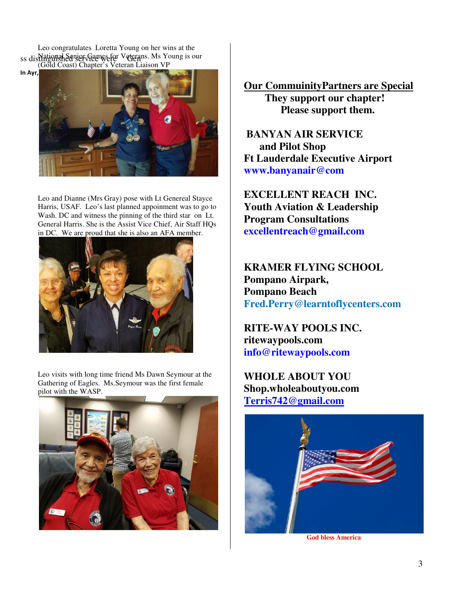Leo congratulates Loretta Young on her wins at the ss distinguished service wefer Veterans. Ms Young is our (Gold Coast) Chapter's Veteran Liaison VP



Leo and Dianne (Mrs Gray) pose with Lt Genereal Stayce Harris, USAF. Leo's last planned appoinment was to go to Wash. DC and witness the pinning of the third star on Lt. General Harris. She is the Assist Vice Chief, Air Staff HQs in DC. We are proud that she is also an AFA member.



Leo visits with long time friend Ms Dawn Seymour at the Gathering of Eagles. Ms.Seymour was the first female pilot with the WASP.



**Our CommuinityPartners are Special They support our chapter! Please support them.** 

 **BANYAN AIR SERVICE and Pilot Shop Ft Lauderdale Executive Airport www.banyanair@com**

**EXCELLENT REACH INC. Youth Aviation & Leadership Program Consultations excellentreach@gmail.com**

**KRAMER FLYING SCHOOL Pompano Airpark, Pompano Beach Fred.Perry@learntoflycenters.com** 

**RITE-WAY POOLS INC. ritewaypools.com info@ritewaypools.com**

**WHOLE ABOUT YOU Shop.wholeaboutyou.com Terris742@gmail.com**



 **God bless America**